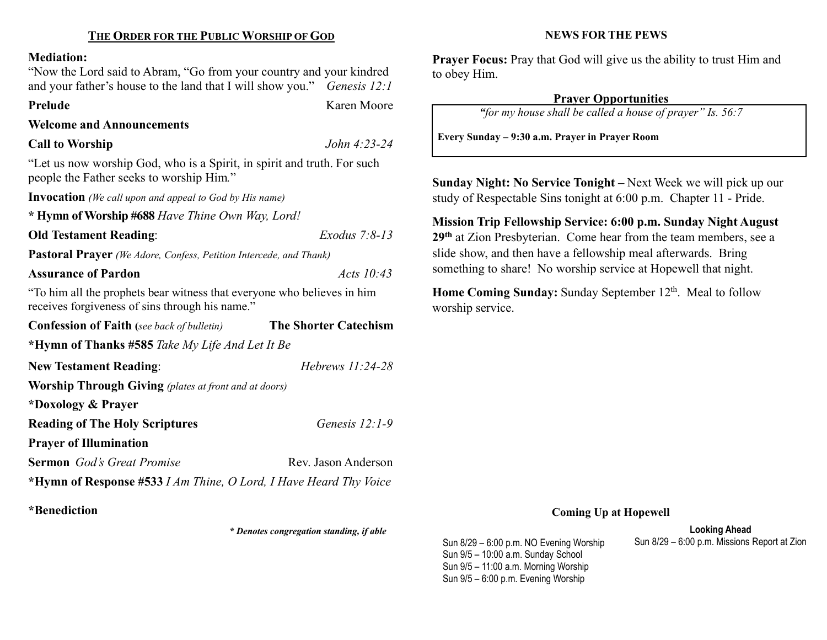#### Mediation:

"Now the Lord said to Abram, "Go from your country and your kindred and your father's house to the land that I will show you." Genesis 12:1

Prelude Karen Moore

## Welcome and Announcements

# Call to Worship  $John\ 4:23-24$

"Let us now worship God, who is a Spirit, in spirit and truth. For such people the Father seeks to worship Him."

Invocation (We call upon and appeal to God by His name)

\* Hymn of Worship #688 Have Thine Own Way, Lord!

Old Testament Reading: Exodus 7:8-13

Pastoral Prayer (We Adore, Confess, Petition Intercede, and Thank)

## Assurance of Pardon Acts 10:43

"To him all the prophets bear witness that everyone who believes in him receives forgiveness of sins through his name."

| <b>Confession of Faith</b> (see back of bulletin)                 | <b>The Shorter Catechism</b> |  |  |  |
|-------------------------------------------------------------------|------------------------------|--|--|--|
| *Hymn of Thanks #585 Take My Life And Let It Be                   |                              |  |  |  |
| <b>New Testament Reading:</b>                                     | Hebrews $11:24-28$           |  |  |  |
| <b>Worship Through Giving</b> (plates at front and at doors)      |                              |  |  |  |
| *Doxology & Prayer                                                |                              |  |  |  |
| <b>Reading of The Holy Scriptures</b>                             | Genesis $12:1-9$             |  |  |  |
| <b>Prayer of Illumination</b>                                     |                              |  |  |  |
| <b>Sermon</b> God's Great Promise                                 | Rev. Jason Anderson          |  |  |  |
| *Hymn of Response #533 I Am Thine, O Lord, I Have Heard Thy Voice |                              |  |  |  |

\*Benediction

\* Denotes congregation standing, if able

#### NEWS FOR THE PEWS

Prayer Focus: Pray that God will give us the ability to trust Him and to obey Him.

# Prayer Opportunities

"for my house shall be called a house of prayer" Is. 56:7

Every Sunday – 9:30 a.m. Prayer in Prayer Room

Sunday Night: No Service Tonight – Next Week we will pick up our study of Respectable Sins tonight at 6:00 p.m. Chapter 11 - Pride.

Mission Trip Fellowship Service: 6:00 p.m. Sunday Night August 29<sup>th</sup> at Zion Presbyterian. Come hear from the team members, see a slide show, and then have a fellowship meal afterwards. Bring something to share! No worship service at Hopewell that night.

Home Coming Sunday: Sunday September 12<sup>th</sup>. Meal to follow worship service.

#### Coming Up at Hopewell

Looking Ahead<br>Sun 8/29 – 6:00 p.m. Missions Report at Zion

Sun  $8/29 - 6:00$  p.m. NO Evening Worship Sun 9/5 – 10:00 a.m. Sunday School Sun 9/5 – 11:00 a.m. Morning Worship Sun 9/5 – 6:00 p.m. Evening Worship